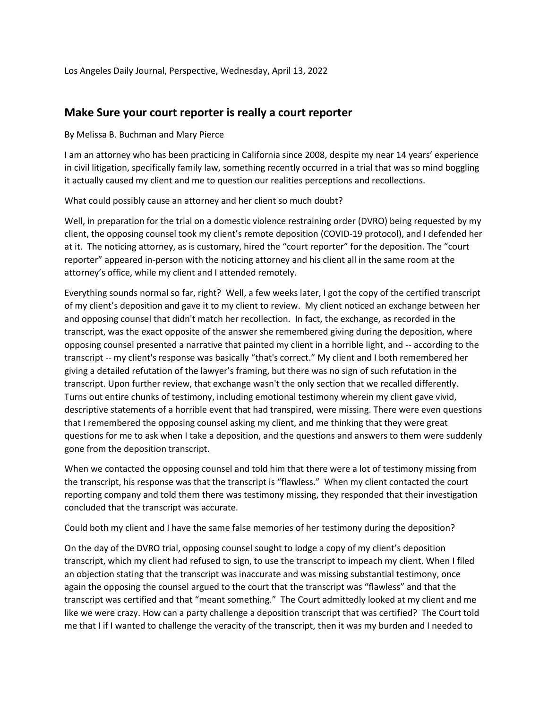Los Angeles Daily Journal, Perspective, Wednesday, April 13, 2022

## **Make Sure your court reporter is really a court reporter**

By Melissa B. Buchman and Mary Pierce

I am an attorney who has been practicing in California since 2008, despite my near 14 years' experience in civil litigation, specifically family law, something recently occurred in a trial that was so mind boggling it actually caused my client and me to question our realities perceptions and recollections.

What could possibly cause an attorney and her client so much doubt?

Well, in preparation for the trial on a domestic violence restraining order (DVRO) being requested by my client, the opposing counsel took my client's remote deposition (COVID-19 protocol), and I defended her at it. The noticing attorney, as is customary, hired the "court reporter" for the deposition. The "court reporter" appeared in-person with the noticing attorney and his client all in the same room at the attorney's office, while my client and I attended remotely.

Everything sounds normal so far, right? Well, a few weeks later, I got the copy of the certified transcript of my client's deposition and gave it to my client to review. My client noticed an exchange between her and opposing counsel that didn't match her recollection. In fact, the exchange, as recorded in the transcript, was the exact opposite of the answer she remembered giving during the deposition, where opposing counsel presented a narrative that painted my client in a horrible light, and -- according to the transcript -- my client's response was basically "that's correct." My client and I both remembered her giving a detailed refutation of the lawyer's framing, but there was no sign of such refutation in the transcript. Upon further review, that exchange wasn't the only section that we recalled differently. Turns out entire chunks of testimony, including emotional testimony wherein my client gave vivid, descriptive statements of a horrible event that had transpired, were missing. There were even questions that I remembered the opposing counsel asking my client, and me thinking that they were great questions for me to ask when I take a deposition, and the questions and answers to them were suddenly gone from the deposition transcript.

When we contacted the opposing counsel and told him that there were a lot of testimony missing from the transcript, his response was that the transcript is "flawless." When my client contacted the court reporting company and told them there was testimony missing, they responded that their investigation concluded that the transcript was accurate.

Could both my client and I have the same false memories of her testimony during the deposition?

On the day of the DVRO trial, opposing counsel sought to lodge a copy of my client's deposition transcript, which my client had refused to sign, to use the transcript to impeach my client. When I filed an objection stating that the transcript was inaccurate and was missing substantial testimony, once again the opposing the counsel argued to the court that the transcript was "flawless" and that the transcript was certified and that "meant something." The Court admittedly looked at my client and me like we were crazy. How can a party challenge a deposition transcript that was certified? The Court told me that I if I wanted to challenge the veracity of the transcript, then it was my burden and I needed to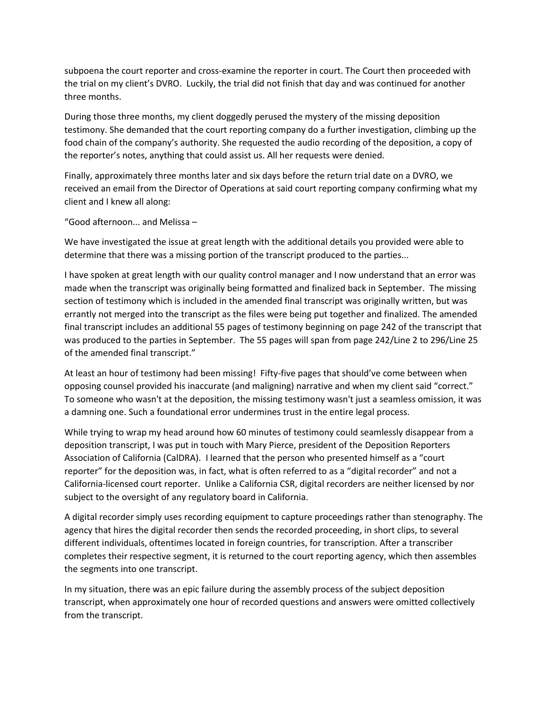subpoena the court reporter and cross-examine the reporter in court. The Court then proceeded with the trial on my client's DVRO. Luckily, the trial did not finish that day and was continued for another three months.

During those three months, my client doggedly perused the mystery of the missing deposition testimony. She demanded that the court reporting company do a further investigation, climbing up the food chain of the company's authority. She requested the audio recording of the deposition, a copy of the reporter's notes, anything that could assist us. All her requests were denied.

Finally, approximately three months later and six days before the return trial date on a DVRO, we received an email from the Director of Operations at said court reporting company confirming what my client and I knew all along:

"Good afternoon... and Melissa –

We have investigated the issue at great length with the additional details you provided were able to determine that there was a missing portion of the transcript produced to the parties...

I have spoken at great length with our quality control manager and I now understand that an error was made when the transcript was originally being formatted and finalized back in September. The missing section of testimony which is included in the amended final transcript was originally written, but was errantly not merged into the transcript as the files were being put together and finalized. The amended final transcript includes an additional 55 pages of testimony beginning on page 242 of the transcript that was produced to the parties in September. The 55 pages will span from page 242/Line 2 to 296/Line 25 of the amended final transcript."

At least an hour of testimony had been missing! Fifty-five pages that should've come between when opposing counsel provided his inaccurate (and maligning) narrative and when my client said "correct." To someone who wasn't at the deposition, the missing testimony wasn't just a seamless omission, it was a damning one. Such a foundational error undermines trust in the entire legal process.

While trying to wrap my head around how 60 minutes of testimony could seamlessly disappear from a deposition transcript, I was put in touch with Mary Pierce, president of the Deposition Reporters Association of California (CalDRA). I learned that the person who presented himself as a "court reporter" for the deposition was, in fact, what is often referred to as a "digital recorder" and not a California-licensed court reporter. Unlike a California CSR, digital recorders are neither licensed by nor subject to the oversight of any regulatory board in California.

A digital recorder simply uses recording equipment to capture proceedings rather than stenography. The agency that hires the digital recorder then sends the recorded proceeding, in short clips, to several different individuals, oftentimes located in foreign countries, for transcription. After a transcriber completes their respective segment, it is returned to the court reporting agency, which then assembles the segments into one transcript.

In my situation, there was an epic failure during the assembly process of the subject deposition transcript, when approximately one hour of recorded questions and answers were omitted collectively from the transcript.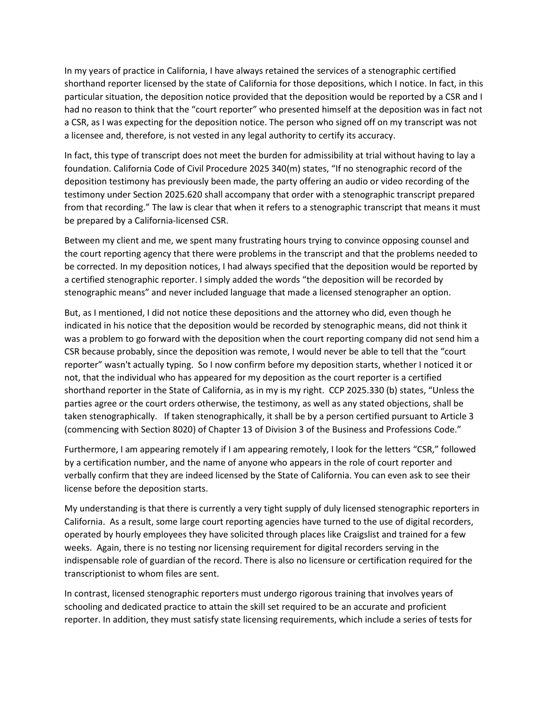In my years of practice in California, I have always retained the services of a stenographic certified shorthand reporter licensed by the state of California for those depositions, which I notice. In fact, in this particular situation, the deposition notice provided that the deposition would be reported by a CSR and I had no reason to think that the "court reporter" who presented himself at the deposition was in fact not a CSR, as I was expecting for the deposition notice. The person who signed off on my transcript was not a licensee and, therefore, is not vested in any legal authority to certify its accuracy.

In fact, this type of transcript does not meet the burden for admissibility at trial without having to lay a foundation. California Code of Civil Procedure 2025 340(m) states, "If no stenographic record of the deposition testimony has previously been made, the party offering an audio or video recording of the testimony under Section 2025.620 shall accompany that order with a stenographic transcript prepared from that recording." The law is clear that when it refers to a stenographic transcript that means it must be prepared by a California-licensed CSR.

Between my client and me, we spent many frustrating hours trying to convince opposing counsel and the court reporting agency that there were problems in the transcript and that the problems needed to be corrected. In my deposition notices, I had always specified that the deposition would be reported by a certified stenographic reporter. I simply added the words "the deposition will be recorded by stenographic means" and never included language that made a licensed stenographer an option.

But, as I mentioned, I did not notice these depositions and the attorney who did, even though he indicated in his notice that the deposition would be recorded by stenographic means, did not think it was a problem to go forward with the deposition when the court reporting company did not send him a CSR because probably, since the deposition was remote, I would never be able to tell that the "court reporter" wasn't actually typing. So I now confirm before my deposition starts, whether I noticed it or not, that the individual who has appeared for my deposition as the court reporter is a certified shorthand reporter in the State of California, as in my is my right. CCP 2025.330 (b) states, "Unless the parties agree or the court orders otherwise, the testimony, as well as any stated objections, shall be taken stenographically. If taken stenographically, it shall be by a person certified pursuant to Article 3 (commencing with Section 8020) of Chapter 13 of Division 3 of the Business and Professions Code."

Furthermore, I am appearing remotely if I am appearing remotely, I look for the letters "CSR," followed by a certification number, and the name of anyone who appears in the role of court reporter and verbally confirm that they are indeed licensed by the State of California. You can even ask to see their license before the deposition starts.

My understanding is that there is currently a very tight supply of duly licensed stenographic reporters in California. As a result, some large court reporting agencies have turned to the use of digital recorders, operated by hourly employees they have solicited through places like Craigslist and trained for a few weeks. Again, there is no testing nor licensing requirement for digital recorders serving in the indispensable role of guardian of the record. There is also no licensure or certification required for the transcriptionist to whom files are sent.

In contrast, licensed stenographic reporters must undergo rigorous training that involves years of schooling and dedicated practice to attain the skill set required to be an accurate and proficient reporter. In addition, they must satisfy state licensing requirements, which include a series of tests for